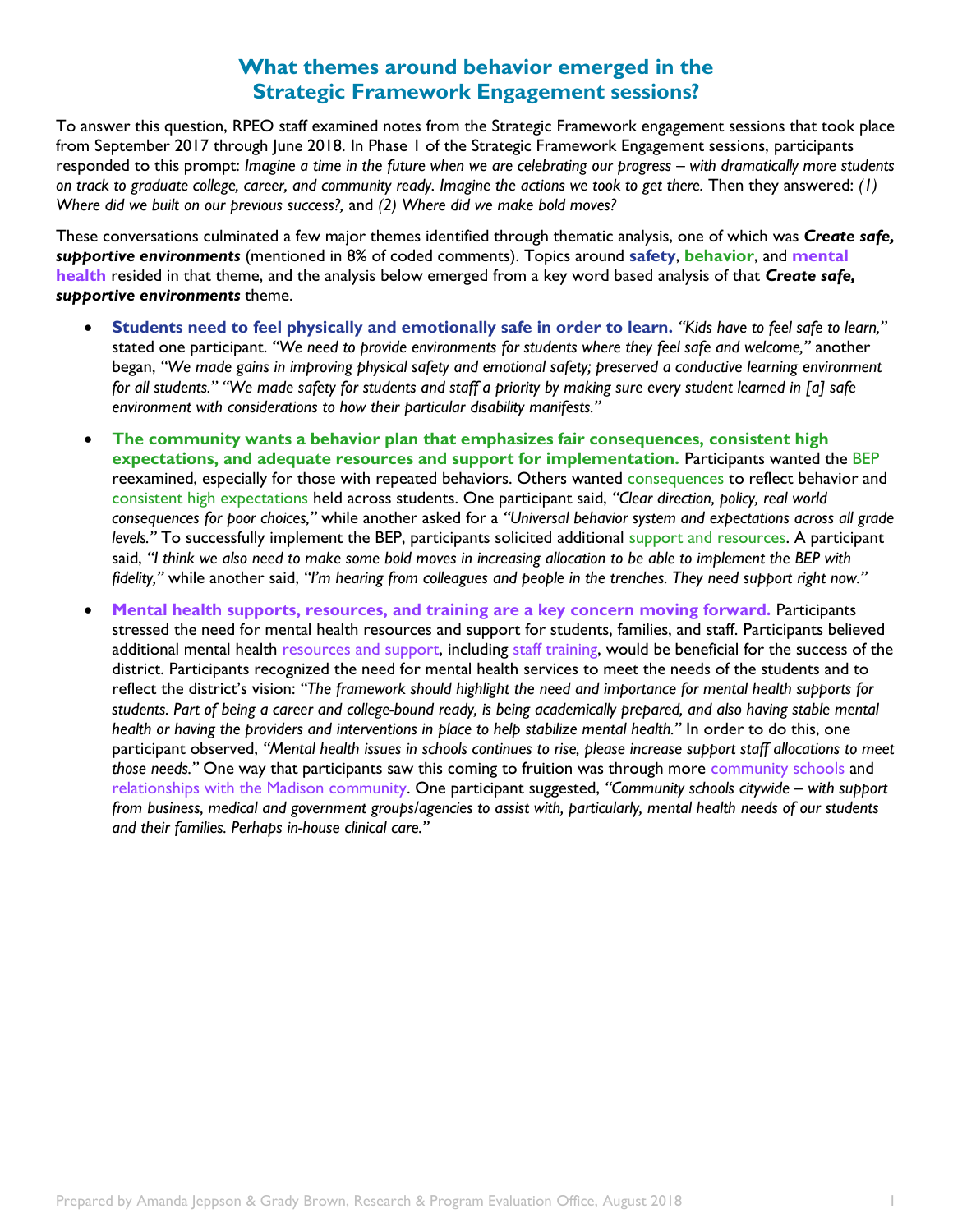## **What themes around behavior emerged in the Strategic Framework Engagement sessions?**

To answer this question, RPEO staff examined notes from the Strategic Framework engagement sessions that took place from September 2017 through June 2018. In Phase 1 of the Strategic Framework Engagement sessions, participants responded to this prompt: *Imagine a time in the future when we are celebrating our progress – with dramatically more students on track to graduate college, career, and community ready. Imagine the actions we took to get there.* Then they answered: *(1) Where did we built on our previous success?,* and *(2) Where did we make bold moves?*

These conversations culminated a few major themes identified through thematic analysis, one of which was *Create safe, supportive environments* (mentioned in 8% of coded comments). Topics around **safety**, **behavior**, and **mental health** resided in that theme, and the analysis below emerged from a key word based analysis of that *Create safe, supportive environments* theme.

- **Students need to feel physically and emotionally safe in order to learn.** *"Kids have to feel safe to learn,"*  stated one participant. *"We need to provide environments for students where they feel safe and welcome,"* another began, *"We made gains in improving physical safety and emotional safety; preserved a conductive learning environment for all students." "We made safety for students and staff a priority by making sure every student learned in [a] safe*  environment with considerations to how their particular disability manifests."
- **The community wants a behavior plan that emphasizes fair consequences, consistent high expectations, and adequate resources and support for implementation.** Participants wanted the BEP reexamined, especially for those with repeated behaviors. Others wanted consequences to reflect behavior and consistent high expectations held across students. One participant said, *"Clear direction, policy, real world consequences for poor choices,"* while another asked for a *"Universal behavior system and expectations across all grade levels."* To successfully implement the BEP, participants solicited additional support and resources. A participant said, *"I think we also need to make some bold moves in increasing allocation to be able to implement the BEP with fidelity,"* while another said, *"I'm hearing from colleagues and people in the trenches. They need support right now."*
- **Mental health supports, resources, and training are a key concern moving forward.** Participants stressed the need for mental health resources and support for students, families, and staff. Participants believed additional mental health resources and support, including staff training, would be beneficial for the success of the district. Participants recognized the need for mental health services to meet the needs of the students and to reflect the district's vision: *"The framework should highlight the need and importance for mental health supports for students. Part of being a career and college-bound ready, is being academically prepared, and also having stable mental health or having the providers and interventions in place to help stabilize mental health."* In order to do this, one participant observed, *"Mental health issues in schools continues to rise, please increase support staff allocations to meet those needs."* One way that participants saw this coming to fruition was through more community schools and relationships with the Madison community. One participant suggested, *"Community schools citywide – with support from business, medical and government groups/agencies to assist with, particularly, mental health needs of our students and their families. Perhaps in-house clinical care."*